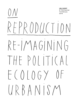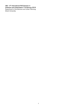U&U - 9<sup>th</sup> International PhD Seminar in Urbanism and Urbanization 7-9 February 2018 Department of Architecture and Urban Planning, Ghent University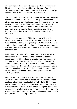The seminar seeks to bring together students writing their PhD thesis in urbanism, working within very different disciplinary traditions, combining historical research, design research and different forms of urban research.

The community supporting this seminar series over the years shares an interest in work that tries to speak across the divide between urban studies and the city-making disciplines, seeking to combine the interpretation of the process of urbanization with the commitment and care for the urban condition in all its manifold manifestations, and bring together urban theory and the theoretical grounding of urbanism.

The seminar welcomes all PhD students working in this mixed field. The call for papers of each edition foregrounds a set of themes that will be given special attention. We invite students to respond to these thematic lines, however, papers addressing other themes and concerns will also be taken into consideration.

Each period of urbanization comes with its urbanisms. At times these are clearly defined and constitute distinct paradigms that fill handbooks, structure curricula and form schools. At other times they are contested and subject of vigorous debate. Today, urbanism is a field in flux, forced to engage in new urban questions and address pressing social and ecological concerns. As a direct result the contemporary list of epithets qualifying the notion urbanism has become virtually endless.

In this edition of the urbanism and urbanization seminar we want to think the urban question as a matter of political ecology, joining the transdisciplinary efforts to think nature inside the political economy of urbanization and to develop a perspective on urbanism that unites ecological and social justice concerns. In order to do so, we proceed from a notion which has defined urbanism within political economy, namely the question of 'social reproduction'.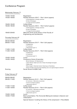# Conference Program

|  | Wednesday February 7th |
|--|------------------------|
|--|------------------------|

| 12h00-14h30<br>14h30-16h00        | Registration<br>Parallel Sessions A-B-C – Part I (short papers)<br>A: Ethnographies of design practices                                                                                                                   |
|-----------------------------------|---------------------------------------------------------------------------------------------------------------------------------------------------------------------------------------------------------------------------|
| 16h00-16h30<br>16h30-18h30        | <b>B: Sites &amp; Strategies</b><br>C: (Large) Territorial systems<br>Coffee break<br>Parallel Sessions A-B-C - Part II (short papers)<br>A: Ethnographies of design practices<br><b>B: Sites &amp; Strategies</b>        |
| 18h00-20h00                       | C: (Large) Territorial systems<br>Welcome Drink at the library of the Faculty of<br><b>Engineering and Architecture</b>                                                                                                   |
| Thursday February 8 <sup>th</sup> |                                                                                                                                                                                                                           |
| 08h30-09h00<br>09h00-11h00        | Registration<br>Parallel Sessions D-E-F – Part I (full papers)<br>D: Metabolism<br>E: Production                                                                                                                          |
| 11h00-11h30<br>11h30-13h30        | F: Movements (part 1)<br>Coffee break<br>Parallel Sessions D-E-F - Part II (full papers)<br>D: Metabolism<br>E: Production<br>F: Movements (part 1)                                                                       |
| 13h30-14h30<br>14h30-19h00        | Lunch<br>Conference theme & keynotes:<br>Michiel Dehaene, 'On Reproduction'<br>Lukasz Stanek, 'Death and Life of Urban Knowledge Ecologies'<br>Coffee break<br>Hillary Angelo, 'Urbanized nature: Greening as Citymaking' |
| Evening                           | Chiara Tornaghi, 'From the food-disabling city to an agroecological urbanism'<br>Social dinner at KASK Café                                                                                                               |
| Friday February 9th               |                                                                                                                                                                                                                           |
| 09h00-09h30<br>09h30-11h00        | Registration<br>Parallel Sessions G-H-I – Part I (full papers)<br>G: Commons / Alternative economies<br>H: Socio-ecological systems                                                                                       |
| 11h00-11h30<br>11h30-13h00        | I: Movements (part 2)<br>Coffee break<br>Parallel Sessions G-H-I - Part II (full papers)<br>G: Commons / Alternative economies<br>H: Socio-ecological systems<br>I: Movements (part 2)                                    |
| 13h00-14h00<br>14h00-17h00        | Lunch<br>Book presentation: The Horizontal Metropolis between Urbanism and<br>Urbanization<br>Special Session: Curating the library of the ampersand $+$ Roundtable                                                       |
|                                   |                                                                                                                                                                                                                           |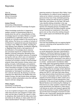# Keynotes

Intro by Michiel Dehaene (Ghent University) On Reproduction

#### Łukasz Stanek

(University of Manchester) Death and Life of Urban Knowledge Ecologies

Urban knowledge production in hegemonic western centres is characterised today by a double bind: the call for a diversification of this knowledge beyond normative Western concepts is paralleled by a systematic erasure of such diversity as it actually existed in the second half of 20th century. The focus on a number of schools of architecture in postcolonial and post-dependence countries in the 1960s and 1970s, including Kumasi (Ghana), Zaria (Nigeria), Constantine (Algeria), or Baghdad (Iraq) shows a real experience of diversification of knowledge about urbanisation processes beyond its unilateral flow from Western (colonial) metropoles. Benefiting from the multiplicity of the global networks of solidarity during the cold war, which were not restricted to the dichotomy between socialist and capitalist countries but included a variety of "third-worldist" projects, these sites became centres where competing concepts, methodologies, and epistemic frameworks were debated, tested, and developed. These diversified ecologies of urban knowledge were buried in the rubbles of the Berlin Wall and devaluated as "ideological" according to western cold-war discourse. By drawing on archival materials from West Africa, the Middle East, and Eastern Europe, this talk revisits these ecologies in order to rethink urbanisation since the cold war beyond cold-war categories.

#### Hillary Angelo

(University of California) Urbanized nature: Greening as Citymaking

In an era of global ecological crisis, sustainable cities have become new paragons of ideal urbanism, and the idea of "green" as a good in cities is ubiquitous. But where did this idea come from. and what are its effects on urban public life and urban transformation? Through a comparison of

greening projects in Germany's Ruhr Valley, I trace the emergence of a distinct social imaginary of nature as an indirect, universal, and aspirational good and show how it has motivated greening practices, carried out with the goal of creating ideal cities and citizens, for the past 150 years. I also identify striking similarities in the way these projects roll out across very different urban epochs and changing groups of protagonists: greening projects are normative projects carried out and received as investments in the public good, even as they reinscribe existing inequalities in public space and distribute their goods unevenly.

#### Chiara Tornaghi

(Coventry University) From the food-disabling city to an agroecological urbanism: rethinking social reproduction from a food perspective

This lecture aims to unpack how a food perspective on social reproduction has been instrumental in shaping an intellectual trajectory that goes from a critical stance towards the food-disabling city, to a programmatic agenda for an agroecological urbanism. The lecture is structured in two parts. In the first part I build on my experience as researcher, scholar –activist and/or microfarmer within over ninety urban food growing projects in Europe between 2009 and 2017. Analysing the limited role of these projects in urban food-production, I will argue that they by and large remain attached to what I have previously defined as the 'food-disabling city' (2017). I will claim that urban theory has been almost entirely food-blind and complicit of a mode of urbanisation which has eroded the capacity of human beings to retain control over a fundamental aspect of social reproduction: food production. In the second part, building on feminist Marxist literature and embracing the challenge to think food as an urban question I expand the way social reproduction has featured in urban theory. I will discuss an action and research agenda that looks at the promises of urban political agroecology and the food sovereignty movement to build what we call a 'resourceful, reproductive, agroecological urbanism' (C.M. Deh-Tor 2017).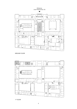Entrance (Jozef Plateaustraat, 22)



GROUND FLOOR

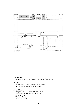

# Ground Floor

1. Library (working space & welcome drink on Wednesday)

# First Floor

- 2. Auditorium E (After-noon session on Friday)
- 3. Auditorium G (Keynotes on Thursday)

# Second Floor

- 4. Registration Desk, Lunch & Coffee Room
- 5. Secretary Departement of Achitecture
- 6. Seminar Room 1
- 7. Seminar Room 2
- 8. Seminar Room 3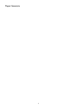# Paper Sessions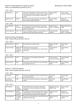#### 14h30 - 16h00

| Diana Dahood         | <b>KUL</b> | Urbanism of temporality. Tracing the impact of food<br>and shelter rehabilitation networks on the production<br>and reproduction of urban realities in Marka camp,<br>Jordan | Seppe De Blust<br>(ndvr) | Chiara Tornaghi<br>(Coventry University) |
|----------------------|------------|------------------------------------------------------------------------------------------------------------------------------------------------------------------------------|--------------------------|------------------------------------------|
| <b>Martin Dumont</b> | UGent      | A critical look at regional planning: Jean Rémy and<br>the concept of urban externalities                                                                                    | Seppe De Blust<br>(ndvr) | Michiel Van<br>Meeteren (VUB)            |

#### 16h30 - 18h00

| Alvaro Mercado<br>Jara | $ULB -$<br>La Cambre | Unveiling Latin American territories; The Travesías<br>of the Valparaíso School as a critical practice of the<br>planetary urbanization | Claudia Faraone<br>(IUAV - UnivPadova) | Michael Ryckewaert<br>(VUB)            |
|------------------------|----------------------|-----------------------------------------------------------------------------------------------------------------------------------------|----------------------------------------|----------------------------------------|
| Jeanne Mosserav        | VUB - KUL            | Live to understand: reflection on an ethnography of a<br>high rise social housing estate in Brussels                                    | Luce Beeckmans<br>(UGent)              | Claudia Faraone<br>(IUAV - UnivPadova) |

# Session B: Sites & Strategies Chair: Viviana D'Auria (seminar room 2)

#### 14h30 - 16h00

| Valentin Bourdon | <b>EPFL</b>                                       | Re-imagining the collective space                                                                   | Wouter Van Acker<br>(ULB) | Viviana D'Auria<br>(KUL) |
|------------------|---------------------------------------------------|-----------------------------------------------------------------------------------------------------|---------------------------|--------------------------|
| Duygu Cihanger   | Middle East<br>Technical<br>University &<br>UGent | Spontaneity in everyday space:<br>Linking Social and Spatial through an Urban Design<br>Perspective | Chiara Certomà<br>(UGent) | Viviana D'Auria<br>(KUL) |

#### 16h30 - 18h00

| Nicola da Schio  | VUB.        | Governing the air: knowledge, infrastructures,<br>contestation                      | Chiara Tornaghi<br>(Coventry University) | <b>Lionel Devlieger</b><br>(Rotor) |
|------------------|-------------|-------------------------------------------------------------------------------------|------------------------------------------|------------------------------------|
| Anna Livia Friel | <b>IUAV</b> | Construction and its contrary. The role of demolition<br>in the project of the city | Wouter Van Acker<br>(ULB)                | Lionel Devlieger<br>(Rotor)        |

# Session C: Territorial systems Chair: Chiara Cavalieri (seminar room 3)

14h30 - 16h00

| Luca Iuorio    | <b>IUAV</b> | Limits and inevitabilities of dams in the North Ameri-<br>can machine-territory | Axel Fisher<br>(ULB) | Greet De Block<br>(UA) |
|----------------|-------------|---------------------------------------------------------------------------------|----------------------|------------------------|
| Luis Antonio   | <b>IUAV</b> | The Italy of the factories. Narrations, representations,                        | Axel Fisher          | Greet De Block         |
| Martin Sanchez |             | images                                                                          | (ULB)                | (UA)                   |

#### 16h30 - 18h30

| Berta Morata     | Lulea<br>Tekniska<br>Universitet     | The Northbothnian technological megasystem:<br>Urbanization, territorial metabolism and political<br>ecologies                                                       | Bénédicte Grosjean<br>(ENSAP Lille) | Chiara Cavalieri<br>(EPFL)    |
|------------------|--------------------------------------|----------------------------------------------------------------------------------------------------------------------------------------------------------------------|-------------------------------------|-------------------------------|
| Thomas Beillouin | $EAV&T$ –<br>Université<br>Paris-Est | The strategies of territorial development in the test of<br>coastal dynamics. From the mobility of the coastline<br>to the spatio-temporal depth of the coastal area | Maria Chiara Tosi<br>(IUAV)         | Michiel Van<br>Meeteren (VUB) |
| Ivonne Weichold  | University<br>of Luxem-<br>bourg     | Land for food. The Interaction of Urban Planning and<br>Regional Food Planning                                                                                       | Maria Chiara Tosi<br>(IUAV)         | Chiara Certomà<br>(UGent)     |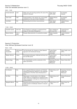9h00 - 11h00

| Andrea Bortolotti | ULB.       | Waste space and recycling practices: the case of the<br>Abattoirs in Brussels                          | Paola Viganò<br>(EPFL-IUAV) | Els Verbakel<br>(Bezalel) |
|-------------------|------------|--------------------------------------------------------------------------------------------------------|-----------------------------|---------------------------|
| Griet Juwet       | <b>VUB</b> | Energy transition in the nebular city: a socio-spatial<br>perspective on the case of heat in Roeselare | Nathalie Roseau<br>(ENPC)   | Els Verbakel<br>(Bezalel) |
| Julie Marin       | <b>KUL</b> | Reinterpreting the territory's resourcefulness                                                         | Paola Viganò<br>(EPFL-IUAV) | Nathalie Roseau<br>(ENPC) |

#### 11h30 - 13h00

| Elisabeth Siodahl | AHO Oslo             | From Pipeline to Landscape: a Landscape-Driven<br>Design for Stormwater Management | Bruno Notteboom<br>(St-Lucas KUL) | Oswald Devisch<br>(UHasselt) |
|-------------------|----------------------|------------------------------------------------------------------------------------|-----------------------------------|------------------------------|
| Marine Declève    | UCL &<br><b>EPFL</b> | Brussels. (De)construction of a productive narrative                               | Nadia Casabella<br>(ULB)          | Joachim Declerck<br>(AWB)    |

# Session E: Production Chair: Michael Ryckewaert (seminar room 3)

9h00 - 11h00

| Giorgos<br>Koukoufikis | GSSI Aguila<br>& KUL | The Post-Growth City: Towards an Urban Research<br>Agenda for the Post-Growth Society | Lukasz Stanek<br>(Manchester)<br>University)     | Elena Cogato Lanza<br>(EPFL) |
|------------------------|----------------------|---------------------------------------------------------------------------------------|--------------------------------------------------|------------------------------|
| Mladen Stilinovic      | UGent                | Re-emerging landscapes: militarised territories from<br>the Cold War period           | Lukasz Stanek<br>(Manchester<br>University)      | Marcel Smets (KUL)           |
| Roberto Sega           | <b>EPFL</b>          | The industrialization and the construction of the<br>Alpine city-territory            | Dominique Rouillard<br>(ENSA Paris<br>Malaguais) | Marcel Smets (KUL)           |

| Cai Xiaoxiao     | <b>KUL</b> | The Congenital Defective Impetuses and Postnatal<br>Distorted Development. Research on the Impetuses<br>and Problems in the New Towns' Development of<br>China                           | Adolfo Sotoca (LUT<br>/ UPC) | Dominique Rouillard<br>(ENSA Paris<br>Malaquais) |
|------------------|------------|------------------------------------------------------------------------------------------------------------------------------------------------------------------------------------------|------------------------------|--------------------------------------------------|
| Sis Pillen       | <b>KUL</b> | Waterscapes in transformation in the 'Uitkerkse<br>Polder'. Water as a protagonist for changing accessi-<br>bility in landscapes challenged by infrastructures for<br>climate resilience | Adolfo Sotoca (LUT<br>/ UPC) | Michael Ryckewaert<br>(VUB)                      |
| Margarita Macera | <b>KUL</b> | Reviewing post-mining procedures in view of the po-<br>tential incursion of landscape urbanism in resource<br>extraction                                                                 | Adolfo Sotoca (LUT<br>/ UPC) | Maria Chiara Tosi<br>(IUAV)                      |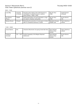### 9h00 - 11h00

| Laura Mav             | University<br>of Antwerp | Suburban place-making: 'place distinctiveness' as<br>manifestation of political-economic coalitions<br>(case: Antwerp, c.1860-c.1940) | Bas Van Heur<br>(VUB)               | Oswald Devisch<br>(UHasselt)        |
|-----------------------|--------------------------|---------------------------------------------------------------------------------------------------------------------------------------|-------------------------------------|-------------------------------------|
| laor Moreno<br>Pessoa | TUDelft                  | Spatial fragmentation and self-organisation: a nega-<br>tive relation in Brazilian metropolises                                       | Bas Van Heur<br>(VUB)               | Ilia Van Damme<br>(UA)              |
| Barbara Roosen        | UHasselt                 | (E) valuating the production of social space: A critical<br>atlas of a residential subdivision in Zolder                              | Bénédicte Grosiean<br>(ENSAP Lille) | <b>Pieter Uvttenhove</b><br>(UGent) |

| Jeroen Stevens        | <b>KUL</b> | Urban(ism) Movements: Occupying Central São Paulo                | Brian McGrath<br>(Parsons New<br>School) | <b>Pieter Uvttenhove</b><br>(UGent) |
|-----------------------|------------|------------------------------------------------------------------|------------------------------------------|-------------------------------------|
| Guillaume<br>Vanneste | UCL - LOCI | Another Geography of the Belgian Dispersed<br><b>Settlements</b> | Brian McGrath<br>(Parsons New<br>School) | Ilja Van Damme<br>(UA)              |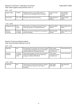### 9h30 - 11h00

| Dagmar Pelger | TU Berlin  | Neighbourhood as a socio-spatial common. A<br>neo-Nolli map of Wrangelkiez, Berlin-Kreuzberg | Lieven De Cauter<br>(KUL)           | <b>Brian McGrath</b><br>(Parsons New<br>School) |
|---------------|------------|----------------------------------------------------------------------------------------------|-------------------------------------|-------------------------------------------------|
| Anna Ternon   | UCL - LOCI | The garden cities of the 21st century                                                        | <b>Pieter Uvttenhove</b><br>(UGent) | Chiara Cavalieri<br>(EPFL)                      |

#### 11h30 - 13h00

| Philippe De Clerck | $ULB -$     | Slow builders in accelerating urbanity. The under- | Bart Verschaffel        | Elena Cogato Lanza |
|--------------------|-------------|----------------------------------------------------|-------------------------|--------------------|
|                    | Louise      | whelming radicality of La Poudrière, Brussels      | (UGent)                 | (EPFL)             |
| Eleonora           | University  | Thermae as commons. Guide lines for the project of | <b>Bart Verschaffel</b> | Elena Cogato Lanza |
| Fiorentino         | of Cagliari | thermal landscapes                                 | (UGent)                 | (EPFL)             |

# Session H: Socio-ecological systems Chair: Greet De Block (seminar room 2)

#### 9h30 - 11h00

| Olga Peek            | <b>KUL</b>                        | Re-designing the incremental city in times of climate<br>change: design investigations into the consolidated<br>riverbank settlements of Guayaquil, Ecuador | <b>Hillary Angelo</b><br>(University of Califor-<br>nia Santa Cruz) | Greet De Block (UA)   |
|----------------------|-----------------------------------|-------------------------------------------------------------------------------------------------------------------------------------------------------------|---------------------------------------------------------------------|-----------------------|
| Koenraad<br>Danneels | University<br>of Antwerp<br>& KUL | Historicizing Ecological Urbanism: Paul Duvigneaud,<br>the Brussels Agglomeration and the influence of<br>ecology on urbanism (1970-2016)                   | <b>Hillary Angelo</b><br>(University of Califor-<br>nia Santa Cruz) | Viviana d'Auria (KUL) |

| <b>KUL</b><br>* Kezia Dewi<br>The place given to and the place taken by Tionghoa<br>in the postcolonial Indonesia. A case study on<br>Semarang | Paola Viganò<br>(EPFL-IUAV) | Stiin Oosterlynck<br>(UA) |
|------------------------------------------------------------------------------------------------------------------------------------------------|-----------------------------|---------------------------|
|------------------------------------------------------------------------------------------------------------------------------------------------|-----------------------------|---------------------------|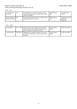#### 9h30 - 11h00

| Luis Angel Flores<br>Hernandez         | <b>KUL</b> | From dissensus to modernist consensus. On the<br>irruption and reproduction of spatial orders in 20th<br>century Guadalajara. | Bert De Munck<br>(UA) | Luce Beeckmans<br>(UGent)                        |
|----------------------------------------|------------|-------------------------------------------------------------------------------------------------------------------------------|-----------------------|--------------------------------------------------|
| Patricia Capanema<br>Alvares Fernandes | <b>KUL</b> | De-hierarchizing Belo Horizonte's foundational plan,<br>building theory from off the map                                      | Bert De Munck<br>(UA) | Dominique Rouillard<br>(ENSA Paris<br>Malaguais) |

| Cristina Braschi | UCL - LOCI  | Death and life of citizen initiatives through partici-<br>patory public policies in Madrid: towards an open<br>source urbanism or towards the end of it? | Els Vervloesem<br>(AWB) | André Loeckx (KUL) |
|------------------|-------------|----------------------------------------------------------------------------------------------------------------------------------------------------------|-------------------------|--------------------|
| Luca Sara Brody  | GSSI Aguila | Challenging the capitalist cityscape? The inclusion<br>of citizens in vacant space reuses in Barcelona and<br><b>Budapest</b>                            | Els Vervloesem<br>(AWB) | André Loeckx (KUL) |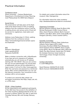# Practical Information

## Conference venue

Ghent University – Campus Boekentoren Department of Architecture & Urban Planning Jozef Plateaustraat 22, 9000 Gent, Belgium

# Social Dinner

The social dinner will take place at the Kask Café at the Ghent School of Arts, at walking distance from the conference venue. It will be a walking dinner, and various sorts of food will be served, for vegetarians, meat eaters and omnivores.

Address: Louis Pasteurlaan 2 (10min. walking distance from the conference venue) https://schoolofartsgent.be/en/artistic-operation/kaskcafe/

Wifi

Network: UGentGuest Login: guestUu2018 Password: RuXfICfW

Make a wireless connection with «UGentGuest». If you have set up to request an IP address automatically, you will receive an IP address starting with 193.190.8×. Now you are connected, but not yet authenticated. You should start a webbrowser and you will be redirected to a logon screen. If not surf to http://www.ugent.be. Enter the username and password as mentioned above. After correct authentication you can use the Internet connection. Your connection to this wireless LAN is not encrypted.

To protect your personal data, please use encrypted connections like https, imaps, ssh, etc. or a VPN client.

# STA.M – Urban Academy

All the respondents and registered participants of the U&U have free access to the exhibition of the Urban Academy (Stadsacademie) at the city museum of Ghent, STA.M. This offer is valid from Thursday February 8th until Sunday February 11th.

For details and contact information about the museum: http://stamgent.be

For information about the urban academy: http://destadsacademie.be/stad-en-universiteit/

## Organizing Committee

Michiel Dehaene (UGent), Greet De Block (UA), Michael Ryckewaert (VUB), Viviana D'Auria (KUL), David Peleman (UGent), Martin Dumont (UGent), Julie Marin (KUL), Griet Juwet (VUB), Ide Hiergens (UA-KUL), Chiara Cavalieri (EPFL)

## Scientific Committee

Michiel Dehaene (UGent), Pieter Uyttenhove (UGent), Paola Viganò (EPFL-IUAV), Dominique Rouillard (ENSA Paris-Malaquais), David Grahame Shane (GSAPP), Elena Cogato Lanza (EPFL), Bruno De Meulder (KUL), Brian Mc Grath (The New School), Carola Hein (TU Delft), Els Verbakel (Technion Israel Institut of Technology), Chiara Tornaghi (Coventry University).

Contact information E: uu2018@ugent.be

David Peleman: 0(032)475.32.16.62 Martin Dumont: 0(032)486.64.59.09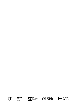